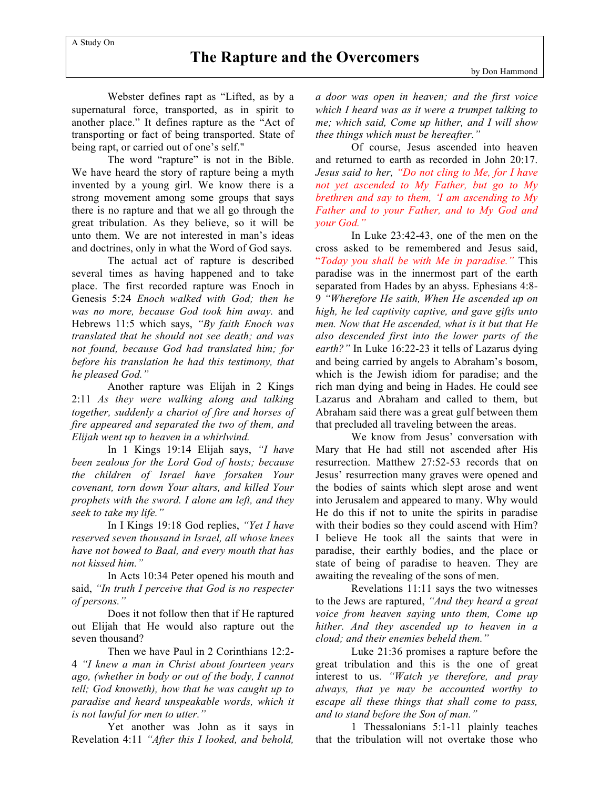## **The Rapture and the Overcomers**

Webster defines rapt as "Lifted, as by a supernatural force, transported, as in spirit to another place." It defines rapture as the "Act of transporting or fact of being transported. State of being rapt, or carried out of one's self."

The word "rapture" is not in the Bible. We have heard the story of rapture being a myth invented by a young girl. We know there is a strong movement among some groups that says there is no rapture and that we all go through the great tribulation. As they believe, so it will be unto them. We are not interested in man's ideas and doctrines, only in what the Word of God says.

The actual act of rapture is described several times as having happened and to take place. The first recorded rapture was Enoch in Genesis 5:24 *Enoch walked with God; then he was no more, because God took him away.* and Hebrews 11:5 which says, *"By faith Enoch was translated that he should not see death; and was not found, because God had translated him; for before his translation he had this testimony, that he pleased God."*

Another rapture was Elijah in 2 Kings 2:11 *As they were walking along and talking together, suddenly a chariot of fire and horses of fire appeared and separated the two of them, and Elijah went up to heaven in a whirlwind.*

In 1 Kings 19:14 Elijah says, *"I have been zealous for the Lord God of hosts; because the children of Israel have forsaken Your covenant, torn down Your altars, and killed Your prophets with the sword. I alone am left, and they seek to take my life."*

In I Kings 19:18 God replies, *"Yet I have reserved seven thousand in Israel, all whose knees have not bowed to Baal, and every mouth that has not kissed him."*

In Acts 10:34 Peter opened his mouth and said, *"In truth I perceive that God is no respecter of persons."*

Does it not follow then that if He raptured out Elijah that He would also rapture out the seven thousand?

Then we have Paul in 2 Corinthians 12:2- 4 *"I knew a man in Christ about fourteen years ago, (whether in body or out of the body, I cannot tell; God knoweth), how that he was caught up to paradise and heard unspeakable words, which it is not lawful for men to utter."*

Yet another was John as it says in Revelation 4:11 *"After this I looked, and behold,* *a door was open in heaven; and the first voice which I heard was as it were a trumpet talking to me; which said, Come up hither, and I will show thee things which must be hereafter."*

Of course, Jesus ascended into heaven and returned to earth as recorded in John 20:17. *Jesus said to her, "Do not cling to Me, for I have not yet ascended to My Father, but go to My brethren and say to them, 'I am ascending to My Father and to your Father, and to My God and your God."*

In Luke 23:42-43, one of the men on the cross asked to be remembered and Jesus said, "*Today you shall be with Me in paradise."* This paradise was in the innermost part of the earth separated from Hades by an abyss. Ephesians 4:8- 9 *"Wherefore He saith, When He ascended up on high, he led captivity captive, and gave gifts unto men. Now that He ascended, what is it but that He also descended first into the lower parts of the earth?"* In Luke 16:22-23 it tells of Lazarus dying and being carried by angels to Abraham's bosom, which is the Jewish idiom for paradise; and the rich man dying and being in Hades. He could see Lazarus and Abraham and called to them, but Abraham said there was a great gulf between them that precluded all traveling between the areas.

We know from Jesus' conversation with Mary that He had still not ascended after His resurrection. Matthew 27:52-53 records that on Jesus' resurrection many graves were opened and the bodies of saints which slept arose and went into Jerusalem and appeared to many. Why would He do this if not to unite the spirits in paradise with their bodies so they could ascend with Him? I believe He took all the saints that were in paradise, their earthly bodies, and the place or state of being of paradise to heaven. They are awaiting the revealing of the sons of men.

Revelations 11:11 says the two witnesses to the Jews are raptured, *"And they heard a great voice from heaven saying unto them, Come up hither. And they ascended up to heaven in a cloud; and their enemies beheld them."*

Luke 21:36 promises a rapture before the great tribulation and this is the one of great interest to us. *"Watch ye therefore, and pray always, that ye may be accounted worthy to escape all these things that shall come to pass, and to stand before the Son of man."*

1 Thessalonians 5:1-11 plainly teaches that the tribulation will not overtake those who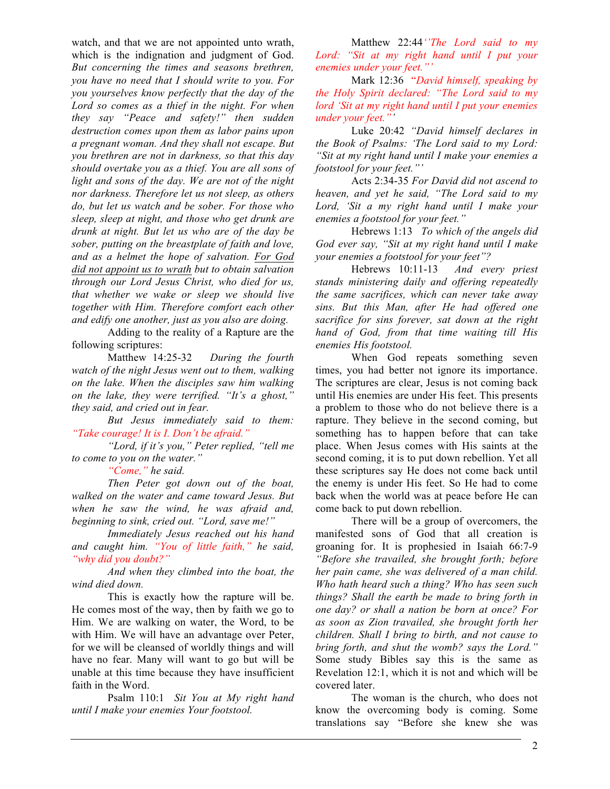watch, and that we are not appointed unto wrath, which is the indignation and judgment of God. *But concerning the times and seasons brethren, you have no need that I should write to you. For you yourselves know perfectly that the day of the Lord so comes as a thief in the night. For when they say "Peace and safety!" then sudden destruction comes upon them as labor pains upon a pregnant woman. And they shall not escape. But you brethren are not in darkness, so that this day should overtake you as a thief. You are all sons of light and sons of the day. We are not of the night nor darkness. Therefore let us not sleep, as others do, but let us watch and be sober. For those who sleep, sleep at night, and those who get drunk are drunk at night. But let us who are of the day be sober, putting on the breastplate of faith and love, and as a helmet the hope of salvation. For God did not appoint us to wrath but to obtain salvation through our Lord Jesus Christ, who died for us, that whether we wake or sleep we should live together with Him. Therefore comfort each other and edify one another, just as you also are doing.*

Adding to the reality of a Rapture are the following scriptures:

Matthew 14:25-32 *During the fourth watch of the night Jesus went out to them, walking on the lake. When the disciples saw him walking on the lake, they were terrified. "It's a ghost," they said, and cried out in fear.*

*But Jesus immediately said to them: "Take courage! It is I. Don't be afraid."*

*"Lord, if it's you," Peter replied, "tell me to come to you on the water."*

*"Come," he said.*

*Then Peter got down out of the boat, walked on the water and came toward Jesus. But when he saw the wind, he was afraid and, beginning to sink, cried out. "Lord, save me!"*

*Immediately Jesus reached out his hand and caught him. "You of little faith," he said, "why did you doubt?"*

*And when they climbed into the boat, the wind died down.*

This is exactly how the rapture will be. He comes most of the way, then by faith we go to Him. We are walking on water, the Word, to be with Him. We will have an advantage over Peter, for we will be cleansed of worldly things and will have no fear. Many will want to go but will be unable at this time because they have insufficient faith in the Word.

Psalm 110:1 *Sit You at My right hand until I make your enemies Your footstool.*

Matthew 22:44*''The Lord said to my Lord: "Sit at my right hand until I put your enemies under your feet."'*

Mark 12:36"*David himself, speaking by the Holy Spirit declared: "The Lord said to my lord 'Sit at my right hand until I put your enemies under your feet."'*

Luke 20:42 *"David himself declares in the Book of Psalms: 'The Lord said to my Lord: "Sit at my right hand until I make your enemies a footstool for your feet."'*

Acts 2:34-35 *For David did not ascend to heaven, and yet he said, "The Lord said to my Lord, 'Sit a my right hand until I make your enemies a footstool for your feet."*

Hebrews 1:13 *To which of the angels did God ever say, "Sit at my right hand until I make your enemies a footstool for your feet"?*

Hebrews 10:11-13 *And every priest stands ministering daily and offering repeatedly the same sacrifices, which can never take away sins. But this Man, after He had offered one sacrifice for sins forever, sat down at the right hand of God, from that time waiting till His enemies His footstool.*

When God repeats something seven times, you had better not ignore its importance. The scriptures are clear, Jesus is not coming back until His enemies are under His feet. This presents a problem to those who do not believe there is a rapture. They believe in the second coming, but something has to happen before that can take place. When Jesus comes with His saints at the second coming, it is to put down rebellion. Yet all these scriptures say He does not come back until the enemy is under His feet. So He had to come back when the world was at peace before He can come back to put down rebellion.

There will be a group of overcomers, the manifested sons of God that all creation is groaning for. It is prophesied in Isaiah 66:7-9 *"Before she travailed, she brought forth; before her pain came, she was delivered of a man child. Who hath heard such a thing? Who has seen such things? Shall the earth be made to bring forth in one day? or shall a nation be born at once? For as soon as Zion travailed, she brought forth her children. Shall I bring to birth, and not cause to bring forth, and shut the womb? says the Lord."*  Some study Bibles say this is the same as Revelation 12:1, which it is not and which will be covered later.

The woman is the church, who does not know the overcoming body is coming. Some translations say "Before she knew she was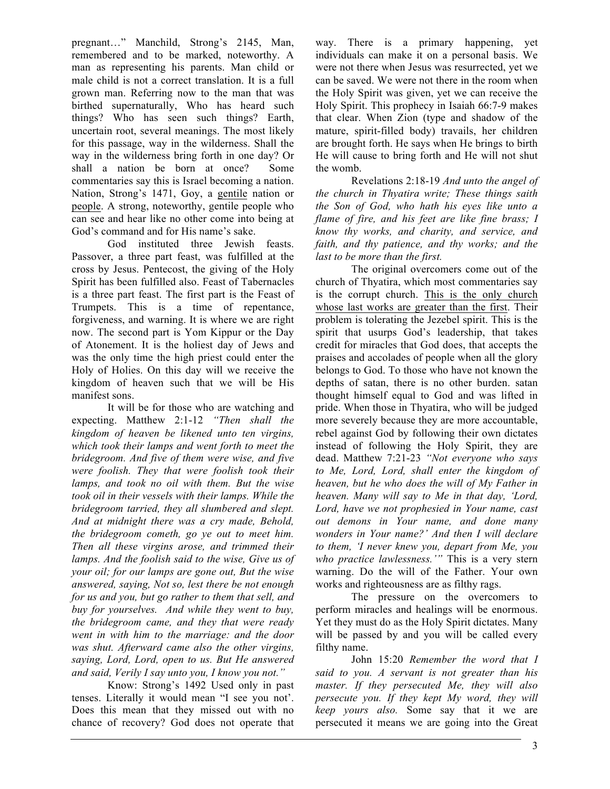pregnant…" Manchild, Strong's 2145, Man, remembered and to be marked, noteworthy. A man as representing his parents. Man child or male child is not a correct translation. It is a full grown man. Referring now to the man that was birthed supernaturally, Who has heard such things? Who has seen such things? Earth, uncertain root, several meanings. The most likely for this passage, way in the wilderness. Shall the way in the wilderness bring forth in one day? Or shall a nation be born at once? Some commentaries say this is Israel becoming a nation. Nation, Strong's 1471, Goy, a gentile nation or people. A strong, noteworthy, gentile people who can see and hear like no other come into being at God's command and for His name's sake.

God instituted three Jewish feasts. Passover, a three part feast, was fulfilled at the cross by Jesus. Pentecost, the giving of the Holy Spirit has been fulfilled also. Feast of Tabernacles is a three part feast. The first part is the Feast of Trumpets. This is a time of repentance, forgiveness, and warning. It is where we are right now. The second part is Yom Kippur or the Day of Atonement. It is the holiest day of Jews and was the only time the high priest could enter the Holy of Holies. On this day will we receive the kingdom of heaven such that we will be His manifest sons.

It will be for those who are watching and expecting. Matthew 2:1-12 *"Then shall the kingdom of heaven be likened unto ten virgins, which took their lamps and went forth to meet the bridegroom. And five of them were wise, and five were foolish. They that were foolish took their lamps, and took no oil with them. But the wise took oil in their vessels with their lamps. While the bridegroom tarried, they all slumbered and slept. And at midnight there was a cry made, Behold, the bridegroom cometh, go ye out to meet him. Then all these virgins arose, and trimmed their lamps. And the foolish said to the wise, Give us of your oil; for our lamps are gone out, But the wise answered, saying, Not so, lest there be not enough for us and you, but go rather to them that sell, and buy for yourselves. And while they went to buy, the bridegroom came, and they that were ready went in with him to the marriage: and the door was shut. Afterward came also the other virgins, saying, Lord, Lord, open to us. But He answered and said, Verily I say unto you, I know you not."*

Know: Strong's 1492 Used only in past tenses. Literally it would mean "I see you not'. Does this mean that they missed out with no chance of recovery? God does not operate that

way. There is a primary happening, yet individuals can make it on a personal basis. We were not there when Jesus was resurrected, yet we can be saved. We were not there in the room when the Holy Spirit was given, yet we can receive the Holy Spirit. This prophecy in Isaiah 66:7-9 makes that clear. When Zion (type and shadow of the mature, spirit-filled body) travails, her children are brought forth. He says when He brings to birth He will cause to bring forth and He will not shut the womb.

Revelations 2:18-19 *And unto the angel of the church in Thyatira write; These things saith the Son of God, who hath his eyes like unto a flame of fire, and his feet are like fine brass; I know thy works, and charity, and service, and faith, and thy patience, and thy works; and the last to be more than the first.*

The original overcomers come out of the church of Thyatira, which most commentaries say is the corrupt church. This is the only church whose last works are greater than the first. Their problem is tolerating the Jezebel spirit. This is the spirit that usurps God's leadership, that takes credit for miracles that God does, that accepts the praises and accolades of people when all the glory belongs to God. To those who have not known the depths of satan, there is no other burden. satan thought himself equal to God and was lifted in pride. When those in Thyatira, who will be judged more severely because they are more accountable, rebel against God by following their own dictates instead of following the Holy Spirit, they are dead. Matthew 7:21-23 *"Not everyone who says to Me, Lord, Lord, shall enter the kingdom of heaven, but he who does the will of My Father in heaven. Many will say to Me in that day, 'Lord, Lord, have we not prophesied in Your name, cast out demons in Your name, and done many wonders in Your name?' And then I will declare to them, 'I never knew you, depart from Me, you who practice lawlessness.'"* This is a very stern warning. Do the will of the Father. Your own works and righteousness are as filthy rags.

The pressure on the overcomers to perform miracles and healings will be enormous. Yet they must do as the Holy Spirit dictates. Many will be passed by and you will be called every filthy name.

John 15:20 *Remember the word that I said to you. A servant is not greater than his master. If they persecuted Me, they will also persecute you. If they kept My word, they will keep yours also.* Some say that it we are persecuted it means we are going into the Great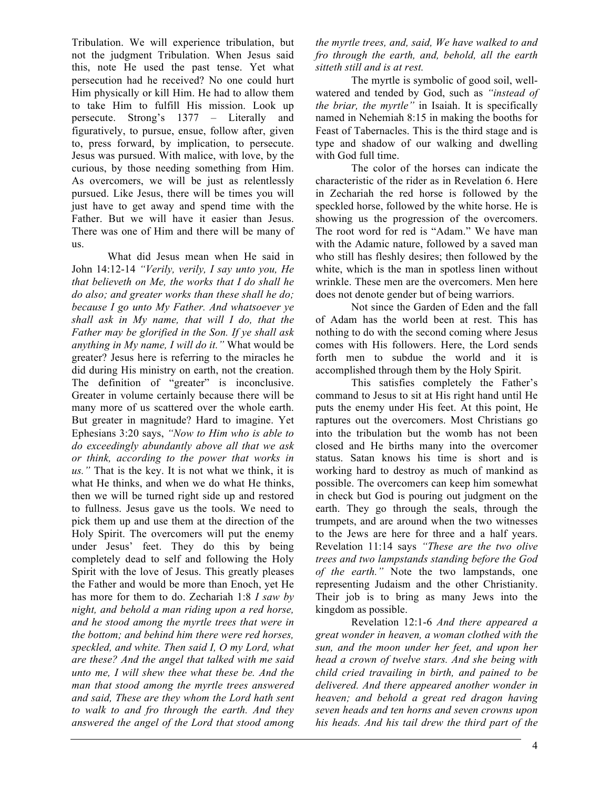Tribulation. We will experience tribulation, but not the judgment Tribulation. When Jesus said this, note He used the past tense. Yet what persecution had he received? No one could hurt Him physically or kill Him. He had to allow them to take Him to fulfill His mission. Look up persecute. Strong's 1377 – Literally and figuratively, to pursue, ensue, follow after, given to, press forward, by implication, to persecute. Jesus was pursued. With malice, with love, by the curious, by those needing something from Him. As overcomers, we will be just as relentlessly pursued. Like Jesus, there will be times you will just have to get away and spend time with the Father. But we will have it easier than Jesus. There was one of Him and there will be many of us.

What did Jesus mean when He said in John 14:12-14 *"Verily, verily, I say unto you, He that believeth on Me, the works that I do shall he do also; and greater works than these shall he do; because I go unto My Father. And whatsoever ye shall ask in My name, that will I do, that the Father may be glorified in the Son. If ye shall ask anything in My name, I will do it."* What would be greater? Jesus here is referring to the miracles he did during His ministry on earth, not the creation. The definition of "greater" is inconclusive. Greater in volume certainly because there will be many more of us scattered over the whole earth. But greater in magnitude? Hard to imagine. Yet Ephesians 3:20 says, *"Now to Him who is able to do exceedingly abundantly above all that we ask or think, according to the power that works in us."* That is the key. It is not what we think, it is what He thinks, and when we do what He thinks, then we will be turned right side up and restored to fullness. Jesus gave us the tools. We need to pick them up and use them at the direction of the Holy Spirit. The overcomers will put the enemy under Jesus' feet. They do this by being completely dead to self and following the Holy Spirit with the love of Jesus. This greatly pleases the Father and would be more than Enoch, yet He has more for them to do. Zechariah 1:8 *I saw by night, and behold a man riding upon a red horse, and he stood among the myrtle trees that were in the bottom; and behind him there were red horses, speckled, and white. Then said I, O my Lord, what are these? And the angel that talked with me said unto me, I will shew thee what these be. And the man that stood among the myrtle trees answered and said, These are they whom the Lord hath sent to walk to and fro through the earth. And they answered the angel of the Lord that stood among*  *the myrtle trees, and, said, We have walked to and fro through the earth, and, behold, all the earth sitteth still and is at rest.*

The myrtle is symbolic of good soil, wellwatered and tended by God, such as *"instead of the briar, the myrtle"* in Isaiah. It is specifically named in Nehemiah 8:15 in making the booths for Feast of Tabernacles. This is the third stage and is type and shadow of our walking and dwelling with God full time.

The color of the horses can indicate the characteristic of the rider as in Revelation 6. Here in Zechariah the red horse is followed by the speckled horse, followed by the white horse. He is showing us the progression of the overcomers. The root word for red is "Adam." We have man with the Adamic nature, followed by a saved man who still has fleshly desires; then followed by the white, which is the man in spotless linen without wrinkle. These men are the overcomers. Men here does not denote gender but of being warriors.

Not since the Garden of Eden and the fall of Adam has the world been at rest. This has nothing to do with the second coming where Jesus comes with His followers. Here, the Lord sends forth men to subdue the world and it is accomplished through them by the Holy Spirit.

This satisfies completely the Father's command to Jesus to sit at His right hand until He puts the enemy under His feet. At this point, He raptures out the overcomers. Most Christians go into the tribulation but the womb has not been closed and He births many into the overcomer status. Satan knows his time is short and is working hard to destroy as much of mankind as possible. The overcomers can keep him somewhat in check but God is pouring out judgment on the earth. They go through the seals, through the trumpets, and are around when the two witnesses to the Jews are here for three and a half years. Revelation 11:14 says *"These are the two olive trees and two lampstands standing before the God of the earth."* Note the two lampstands, one representing Judaism and the other Christianity. Their job is to bring as many Jews into the kingdom as possible.

Revelation 12:1-6 *And there appeared a great wonder in heaven, a woman clothed with the sun, and the moon under her feet, and upon her head a crown of twelve stars. And she being with child cried travailing in birth, and pained to be delivered. And there appeared another wonder in heaven; and behold a great red dragon having seven heads and ten horns and seven crowns upon his heads. And his tail drew the third part of the*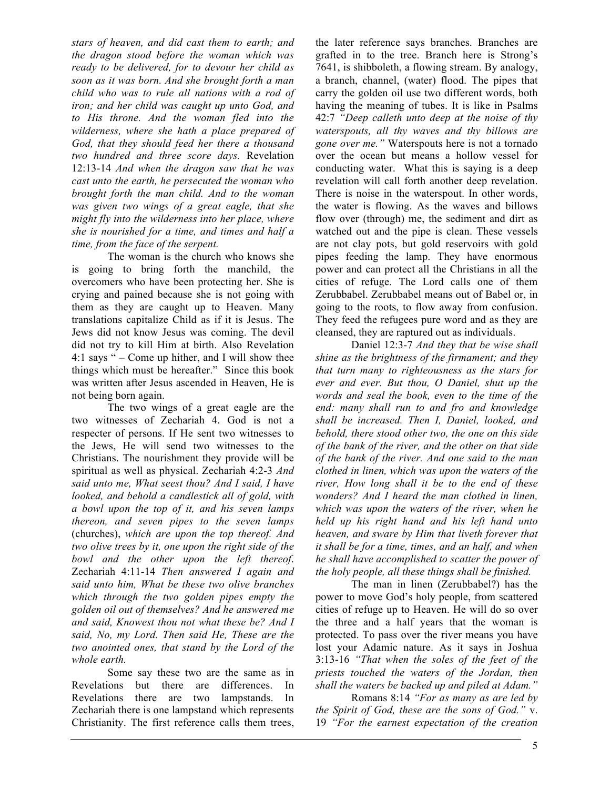*stars of heaven, and did cast them to earth; and the dragon stood before the woman which was ready to be delivered, for to devour her child as soon as it was born. And she brought forth a man child who was to rule all nations with a rod of iron; and her child was caught up unto God, and to His throne. And the woman fled into the wilderness, where she hath a place prepared of God, that they should feed her there a thousand two hundred and three score days.* Revelation 12:13-14 *And when the dragon saw that he was cast unto the earth, he persecuted the woman who brought forth the man child. And to the woman was given two wings of a great eagle, that she might fly into the wilderness into her place, where she is nourished for a time, and times and half a time, from the face of the serpent.*

The woman is the church who knows she is going to bring forth the manchild, the overcomers who have been protecting her. She is crying and pained because she is not going with them as they are caught up to Heaven. Many translations capitalize Child as if it is Jesus. The Jews did not know Jesus was coming. The devil did not try to kill Him at birth. Also Revelation 4:1 says " – Come up hither, and I will show thee things which must be hereafter." Since this book was written after Jesus ascended in Heaven, He is not being born again.

The two wings of a great eagle are the two witnesses of Zechariah 4. God is not a respecter of persons. If He sent two witnesses to the Jews, He will send two witnesses to the Christians. The nourishment they provide will be spiritual as well as physical. Zechariah 4:2-3 *And said unto me, What seest thou? And I said, I have looked, and behold a candlestick all of gold, with a bowl upon the top of it, and his seven lamps thereon, and seven pipes to the seven lamps*  (churches), *which are upon the top thereof. And two olive trees by it, one upon the right side of the bowl and the other upon the left thereof*. Zechariah 4:11-14 *Then answered I again and said unto him, What be these two olive branches which through the two golden pipes empty the golden oil out of themselves? And he answered me and said, Knowest thou not what these be? And I said, No, my Lord. Then said He, These are the two anointed ones, that stand by the Lord of the whole earth.*

Some say these two are the same as in Revelations but there are differences. In Revelations there are two lampstands. In Zechariah there is one lampstand which represents Christianity. The first reference calls them trees, the later reference says branches. Branches are grafted in to the tree. Branch here is Strong's 7641, is shibboleth, a flowing stream. By analogy, a branch, channel, (water) flood. The pipes that carry the golden oil use two different words, both having the meaning of tubes. It is like in Psalms 42:7 *"Deep calleth unto deep at the noise of thy waterspouts, all thy waves and thy billows are gone over me."* Waterspouts here is not a tornado over the ocean but means a hollow vessel for conducting water. What this is saying is a deep revelation will call forth another deep revelation. There is noise in the waterspout. In other words, the water is flowing. As the waves and billows flow over (through) me, the sediment and dirt as watched out and the pipe is clean. These vessels are not clay pots, but gold reservoirs with gold pipes feeding the lamp. They have enormous power and can protect all the Christians in all the cities of refuge. The Lord calls one of them Zerubbabel. Zerubbabel means out of Babel or, in going to the roots, to flow away from confusion. They feed the refugees pure word and as they are cleansed, they are raptured out as individuals.

Daniel 12:3-7 *And they that be wise shall shine as the brightness of the firmament; and they that turn many to righteousness as the stars for ever and ever. But thou, O Daniel, shut up the words and seal the book, even to the time of the end: many shall run to and fro and knowledge shall be increased. Then I, Daniel, looked, and behold, there stood other two, the one on this side of the bank of the river, and the other on that side of the bank of the river. And one said to the man clothed in linen, which was upon the waters of the river, How long shall it be to the end of these wonders? And I heard the man clothed in linen, which was upon the waters of the river, when he held up his right hand and his left hand unto heaven, and sware by Him that liveth forever that it shall be for a time, times, and an half, and when he shall have accomplished to scatter the power of the holy people, all these things shall be finished.*

The man in linen (Zerubbabel?) has the power to move God's holy people, from scattered cities of refuge up to Heaven. He will do so over the three and a half years that the woman is protected. To pass over the river means you have lost your Adamic nature. As it says in Joshua 3:13-16 *"That when the soles of the feet of the priests touched the waters of the Jordan, then shall the waters be backed up and piled at Adam."*

Romans 8:14 *"For as many as are led by the Spirit of God, these are the sons of God."* v. 19 *"For the earnest expectation of the creation*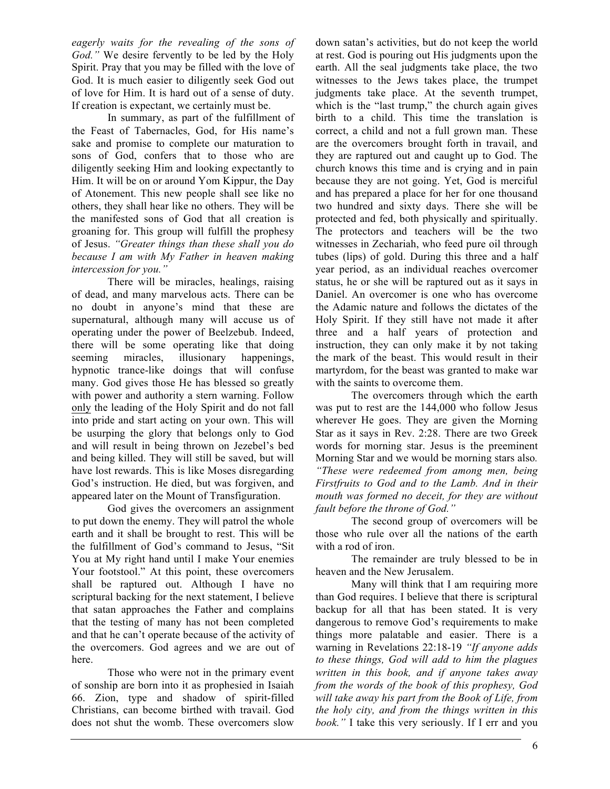*eagerly waits for the revealing of the sons of God."* We desire fervently to be led by the Holy Spirit. Pray that you may be filled with the love of God. It is much easier to diligently seek God out of love for Him. It is hard out of a sense of duty. If creation is expectant, we certainly must be.

In summary, as part of the fulfillment of the Feast of Tabernacles, God, for His name's sake and promise to complete our maturation to sons of God, confers that to those who are diligently seeking Him and looking expectantly to Him. It will be on or around Yom Kippur, the Day of Atonement. This new people shall see like no others, they shall hear like no others. They will be the manifested sons of God that all creation is groaning for. This group will fulfill the prophesy of Jesus. *"Greater things than these shall you do because I am with My Father in heaven making intercession for you."*

There will be miracles, healings, raising of dead, and many marvelous acts. There can be no doubt in anyone's mind that these are supernatural, although many will accuse us of operating under the power of Beelzebub. Indeed, there will be some operating like that doing seeming miracles, illusionary happenings, hypnotic trance-like doings that will confuse many. God gives those He has blessed so greatly with power and authority a stern warning. Follow only the leading of the Holy Spirit and do not fall into pride and start acting on your own. This will be usurping the glory that belongs only to God and will result in being thrown on Jezebel's bed and being killed. They will still be saved, but will have lost rewards. This is like Moses disregarding God's instruction. He died, but was forgiven, and appeared later on the Mount of Transfiguration.

God gives the overcomers an assignment to put down the enemy. They will patrol the whole earth and it shall be brought to rest. This will be the fulfillment of God's command to Jesus, "Sit You at My right hand until I make Your enemies Your footstool." At this point, these overcomers shall be raptured out. Although I have no scriptural backing for the next statement, I believe that satan approaches the Father and complains that the testing of many has not been completed and that he can't operate because of the activity of the overcomers. God agrees and we are out of here.

Those who were not in the primary event of sonship are born into it as prophesied in Isaiah 66. Zion, type and shadow of spirit-filled Christians, can become birthed with travail. God does not shut the womb. These overcomers slow down satan's activities, but do not keep the world at rest. God is pouring out His judgments upon the earth. All the seal judgments take place, the two witnesses to the Jews takes place, the trumpet judgments take place. At the seventh trumpet, which is the "last trump," the church again gives birth to a child. This time the translation is correct, a child and not a full grown man. These are the overcomers brought forth in travail, and they are raptured out and caught up to God. The church knows this time and is crying and in pain because they are not going. Yet, God is merciful and has prepared a place for her for one thousand two hundred and sixty days. There she will be protected and fed, both physically and spiritually. The protectors and teachers will be the two witnesses in Zechariah, who feed pure oil through tubes (lips) of gold. During this three and a half year period, as an individual reaches overcomer status, he or she will be raptured out as it says in Daniel. An overcomer is one who has overcome the Adamic nature and follows the dictates of the Holy Spirit. If they still have not made it after three and a half years of protection and instruction, they can only make it by not taking the mark of the beast. This would result in their martyrdom, for the beast was granted to make war with the saints to overcome them.

The overcomers through which the earth was put to rest are the 144,000 who follow Jesus wherever He goes. They are given the Morning Star as it says in Rev. 2:28. There are two Greek words for morning star. Jesus is the preeminent Morning Star and we would be morning stars also*. "These were redeemed from among men, being Firstfruits to God and to the Lamb. And in their mouth was formed no deceit, for they are without fault before the throne of God."*

The second group of overcomers will be those who rule over all the nations of the earth with a rod of iron.

The remainder are truly blessed to be in heaven and the New Jerusalem.

Many will think that I am requiring more than God requires. I believe that there is scriptural backup for all that has been stated. It is very dangerous to remove God's requirements to make things more palatable and easier. There is a warning in Revelations 22:18-19 *"If anyone adds to these things, God will add to him the plagues written in this book, and if anyone takes away from the words of the book of this prophesy, God will take away his part from the Book of Life, from the holy city, and from the things written in this book."* I take this very seriously. If I err and you